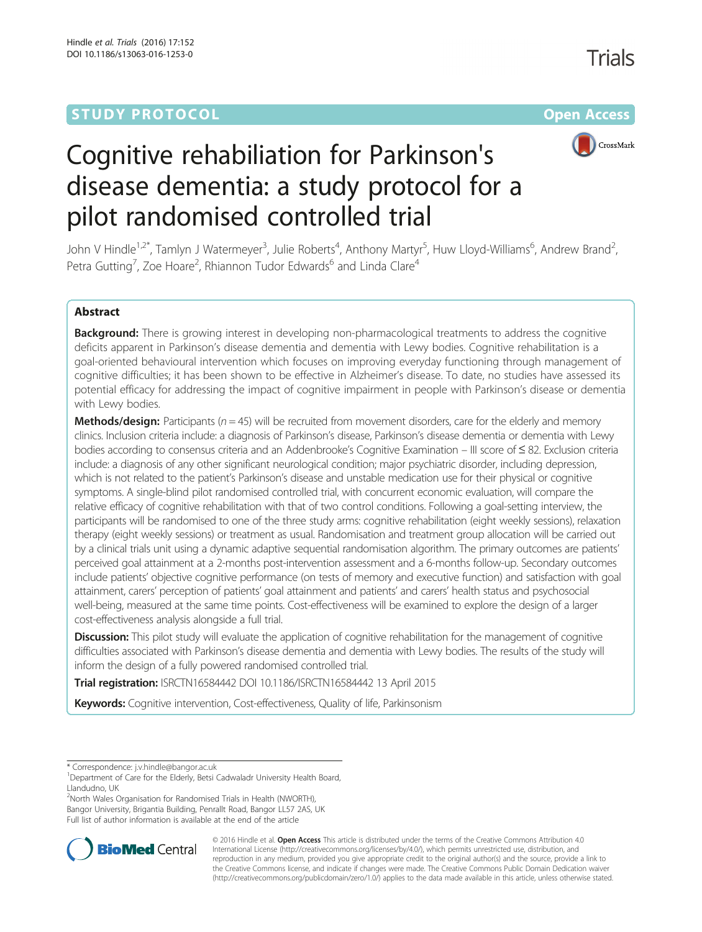## **STUDY PROTOCOL CONSUMING THE RESERVE ACCESS**



# Cognitive rehabiliation for Parkinson's disease dementia: a study protocol for a pilot randomised controlled trial

John V Hindle<sup>1,2\*</sup>, Tamlyn J Watermeyer<sup>3</sup>, Julie Roberts<sup>4</sup>, Anthony Martyr<sup>5</sup>, Huw Lloyd-Williams<sup>6</sup>, Andrew Brand<sup>2</sup> , Petra Gutting<sup>7</sup>, Zoe Hoare<sup>2</sup>, Rhiannon Tudor Edwards<sup>6</sup> and Linda Clare<sup>4</sup>

#### Abstract

Background: There is growing interest in developing non-pharmacological treatments to address the cognitive deficits apparent in Parkinson's disease dementia and dementia with Lewy bodies. Cognitive rehabilitation is a goal-oriented behavioural intervention which focuses on improving everyday functioning through management of cognitive difficulties; it has been shown to be effective in Alzheimer's disease. To date, no studies have assessed its potential efficacy for addressing the impact of cognitive impairment in people with Parkinson's disease or dementia with Lewy bodies.

**Methods/design:** Participants ( $n = 45$ ) will be recruited from movement disorders, care for the elderly and memory clinics. Inclusion criteria include: a diagnosis of Parkinson's disease, Parkinson's disease dementia or dementia with Lewy bodies according to consensus criteria and an Addenbrooke's Cognitive Examination – III score of ≤ 82. Exclusion criteria include: a diagnosis of any other significant neurological condition; major psychiatric disorder, including depression, which is not related to the patient's Parkinson's disease and unstable medication use for their physical or cognitive symptoms. A single-blind pilot randomised controlled trial, with concurrent economic evaluation, will compare the relative efficacy of cognitive rehabilitation with that of two control conditions. Following a goal-setting interview, the participants will be randomised to one of the three study arms: cognitive rehabilitation (eight weekly sessions), relaxation therapy (eight weekly sessions) or treatment as usual. Randomisation and treatment group allocation will be carried out by a clinical trials unit using a dynamic adaptive sequential randomisation algorithm. The primary outcomes are patients' perceived goal attainment at a 2-months post-intervention assessment and a 6-months follow-up. Secondary outcomes include patients' objective cognitive performance (on tests of memory and executive function) and satisfaction with goal attainment, carers' perception of patients' goal attainment and patients' and carers' health status and psychosocial well-being, measured at the same time points. Cost-effectiveness will be examined to explore the design of a larger cost-effectiveness analysis alongside a full trial.

**Discussion:** This pilot study will evaluate the application of cognitive rehabilitation for the management of cognitive difficulties associated with Parkinson's disease dementia and dementia with Lewy bodies. The results of the study will inform the design of a fully powered randomised controlled trial.

**Trial registration:** [ISRCTN16584442](http://www.isrctn.com/ISRCTN16584442) DOI [10.1186/ISRCTN16584442](http://dx.doi.org/10.1186/ISRCTN16584442) 13 April 2015

Keywords: Cognitive intervention, Cost-effectiveness, Quality of life, Parkinsonism

<sup>2</sup>North Wales Organisation for Randomised Trials in Health (NWORTH), Bangor University, Brigantia Building, Penrallt Road, Bangor LL57 2AS, UK

Full list of author information is available at the end of the article



© 2016 Hindle et al. Open Access This article is distributed under the terms of the Creative Commons Attribution 4.0 International License [\(http://creativecommons.org/licenses/by/4.0/](http://creativecommons.org/licenses/by/4.0/)), which permits unrestricted use, distribution, and reproduction in any medium, provided you give appropriate credit to the original author(s) and the source, provide a link to the Creative Commons license, and indicate if changes were made. The Creative Commons Public Domain Dedication waiver [\(http://creativecommons.org/publicdomain/zero/1.0/](http://creativecommons.org/publicdomain/zero/1.0/)) applies to the data made available in this article, unless otherwise stated.

<sup>\*</sup> Correspondence: [j.v.hindle@bangor.ac.uk](mailto:j.v.hindle@bangor.ac.uk) <sup>1</sup>

<sup>&</sup>lt;sup>1</sup>Department of Care for the Elderly, Betsi Cadwaladr University Health Board, Llandudno, UK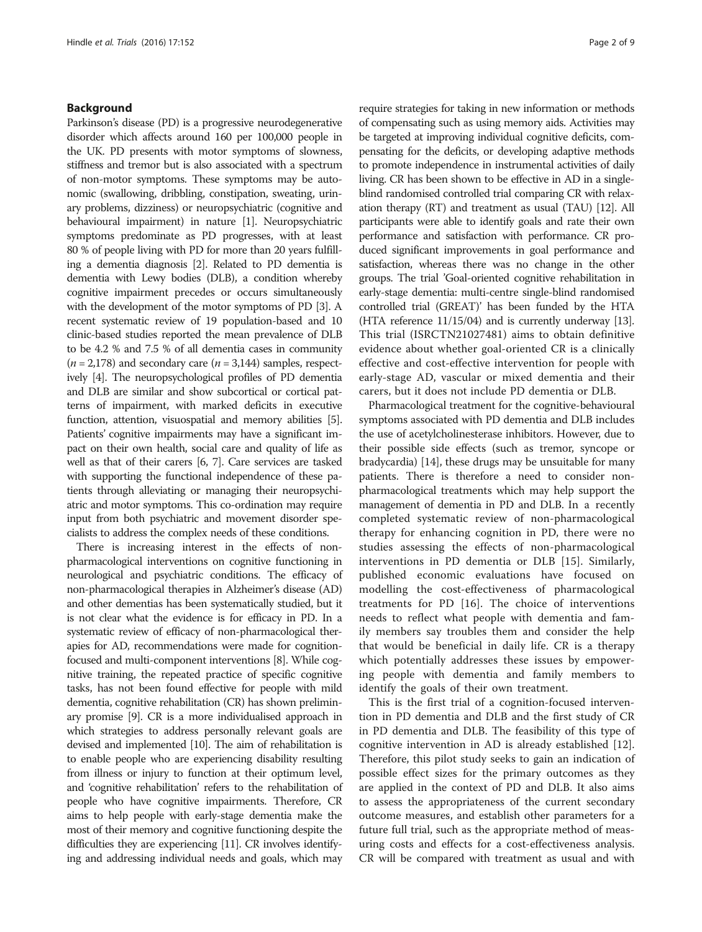#### Background

Parkinson's disease (PD) is a progressive neurodegenerative disorder which affects around 160 per 100,000 people in the UK. PD presents with motor symptoms of slowness, stiffness and tremor but is also associated with a spectrum of non-motor symptoms. These symptoms may be autonomic (swallowing, dribbling, constipation, sweating, urinary problems, dizziness) or neuropsychiatric (cognitive and behavioural impairment) in nature [\[1](#page-7-0)]. Neuropsychiatric symptoms predominate as PD progresses, with at least 80 % of people living with PD for more than 20 years fulfilling a dementia diagnosis [\[2](#page-7-0)]. Related to PD dementia is dementia with Lewy bodies (DLB), a condition whereby cognitive impairment precedes or occurs simultaneously with the development of the motor symptoms of PD [\[3\]](#page-7-0). A recent systematic review of 19 population-based and 10 clinic-based studies reported the mean prevalence of DLB to be 4.2 % and 7.5 % of all dementia cases in community  $(n = 2,178)$  and secondary care  $(n = 3,144)$  samples, respectively [\[4\]](#page-7-0). The neuropsychological profiles of PD dementia and DLB are similar and show subcortical or cortical patterns of impairment, with marked deficits in executive function, attention, visuospatial and memory abilities [[5](#page-7-0)]. Patients' cognitive impairments may have a significant impact on their own health, social care and quality of life as well as that of their carers [\[6, 7](#page-7-0)]. Care services are tasked with supporting the functional independence of these patients through alleviating or managing their neuropsychiatric and motor symptoms. This co-ordination may require input from both psychiatric and movement disorder specialists to address the complex needs of these conditions.

There is increasing interest in the effects of nonpharmacological interventions on cognitive functioning in neurological and psychiatric conditions. The efficacy of non-pharmacological therapies in Alzheimer's disease (AD) and other dementias has been systematically studied, but it is not clear what the evidence is for efficacy in PD. In a systematic review of efficacy of non-pharmacological therapies for AD, recommendations were made for cognitionfocused and multi-component interventions [[8](#page-7-0)]. While cognitive training, the repeated practice of specific cognitive tasks, has not been found effective for people with mild dementia, cognitive rehabilitation (CR) has shown preliminary promise [\[9](#page-7-0)]. CR is a more individualised approach in which strategies to address personally relevant goals are devised and implemented [\[10\]](#page-7-0). The aim of rehabilitation is to enable people who are experiencing disability resulting from illness or injury to function at their optimum level, and 'cognitive rehabilitation' refers to the rehabilitation of people who have cognitive impairments. Therefore, CR aims to help people with early-stage dementia make the most of their memory and cognitive functioning despite the difficulties they are experiencing [\[11\]](#page-7-0). CR involves identifying and addressing individual needs and goals, which may

require strategies for taking in new information or methods of compensating such as using memory aids. Activities may be targeted at improving individual cognitive deficits, compensating for the deficits, or developing adaptive methods to promote independence in instrumental activities of daily living. CR has been shown to be effective in AD in a singleblind randomised controlled trial comparing CR with relaxation therapy (RT) and treatment as usual (TAU) [\[12](#page-7-0)]. All participants were able to identify goals and rate their own performance and satisfaction with performance. CR produced significant improvements in goal performance and satisfaction, whereas there was no change in the other groups. The trial 'Goal-oriented cognitive rehabilitation in early-stage dementia: multi-centre single-blind randomised controlled trial (GREAT)' has been funded by the HTA (HTA reference 11/15/04) and is currently underway [\[13](#page-7-0)]. This trial (ISRCTN21027481) aims to obtain definitive evidence about whether goal-oriented CR is a clinically effective and cost-effective intervention for people with early-stage AD, vascular or mixed dementia and their carers, but it does not include PD dementia or DLB.

Pharmacological treatment for the cognitive-behavioural symptoms associated with PD dementia and DLB includes the use of acetylcholinesterase inhibitors. However, due to their possible side effects (such as tremor, syncope or bradycardia) [\[14\]](#page-7-0), these drugs may be unsuitable for many patients. There is therefore a need to consider nonpharmacological treatments which may help support the management of dementia in PD and DLB. In a recently completed systematic review of non-pharmacological therapy for enhancing cognition in PD, there were no studies assessing the effects of non-pharmacological interventions in PD dementia or DLB [\[15](#page-7-0)]. Similarly, published economic evaluations have focused on modelling the cost-effectiveness of pharmacological treatments for PD [\[16](#page-7-0)]. The choice of interventions needs to reflect what people with dementia and family members say troubles them and consider the help that would be beneficial in daily life. CR is a therapy which potentially addresses these issues by empowering people with dementia and family members to identify the goals of their own treatment.

This is the first trial of a cognition-focused intervention in PD dementia and DLB and the first study of CR in PD dementia and DLB. The feasibility of this type of cognitive intervention in AD is already established [\[12](#page-7-0)]. Therefore, this pilot study seeks to gain an indication of possible effect sizes for the primary outcomes as they are applied in the context of PD and DLB. It also aims to assess the appropriateness of the current secondary outcome measures, and establish other parameters for a future full trial, such as the appropriate method of measuring costs and effects for a cost-effectiveness analysis. CR will be compared with treatment as usual and with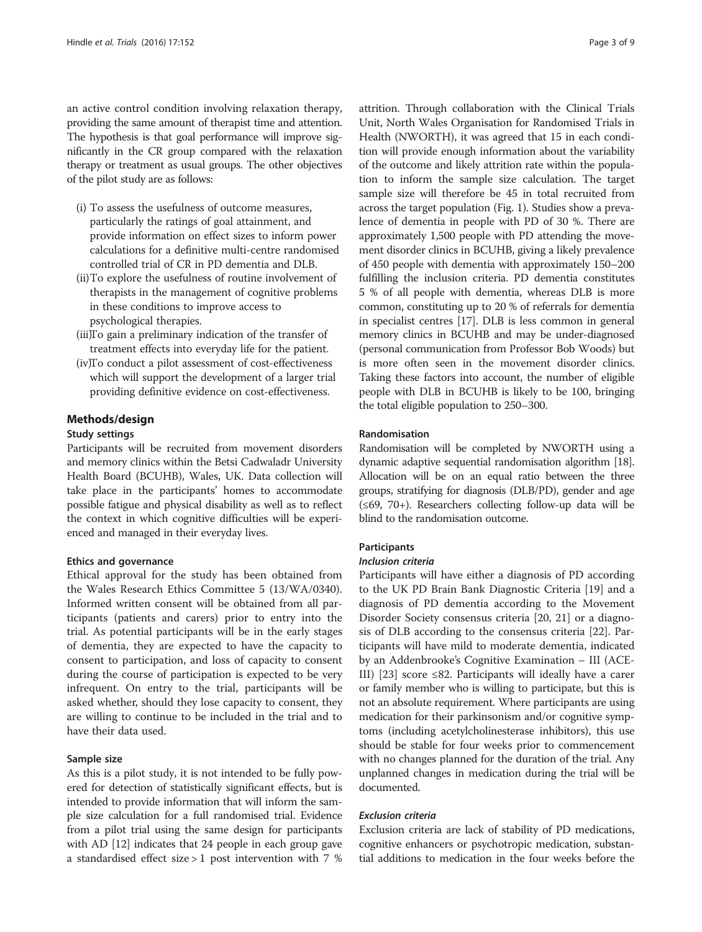an active control condition involving relaxation therapy, providing the same amount of therapist time and attention. The hypothesis is that goal performance will improve significantly in the CR group compared with the relaxation therapy or treatment as usual groups. The other objectives of the pilot study are as follows:

- (i) To assess the usefulness of outcome measures, particularly the ratings of goal attainment, and provide information on effect sizes to inform power calculations for a definitive multi-centre randomised controlled trial of CR in PD dementia and DLB.
- (ii)To explore the usefulness of routine involvement of therapists in the management of cognitive problems in these conditions to improve access to psychological therapies.
- (iii)To gain a preliminary indication of the transfer of treatment effects into everyday life for the patient.
- (iv)To conduct a pilot assessment of cost-effectiveness which will support the development of a larger trial providing definitive evidence on cost-effectiveness.

#### Methods/design

#### Study settings

Participants will be recruited from movement disorders and memory clinics within the Betsi Cadwaladr University Health Board (BCUHB), Wales, UK. Data collection will take place in the participants' homes to accommodate possible fatigue and physical disability as well as to reflect the context in which cognitive difficulties will be experienced and managed in their everyday lives.

#### Ethics and governance

Ethical approval for the study has been obtained from the Wales Research Ethics Committee 5 (13/WA/0340). Informed written consent will be obtained from all participants (patients and carers) prior to entry into the trial. As potential participants will be in the early stages of dementia, they are expected to have the capacity to consent to participation, and loss of capacity to consent during the course of participation is expected to be very infrequent. On entry to the trial, participants will be asked whether, should they lose capacity to consent, they are willing to continue to be included in the trial and to have their data used.

#### Sample size

As this is a pilot study, it is not intended to be fully powered for detection of statistically significant effects, but is intended to provide information that will inform the sample size calculation for a full randomised trial. Evidence from a pilot trial using the same design for participants with AD [[12](#page-7-0)] indicates that 24 people in each group gave a standardised effect size > 1 post intervention with 7 % attrition. Through collaboration with the Clinical Trials Unit, North Wales Organisation for Randomised Trials in Health (NWORTH), it was agreed that 15 in each condition will provide enough information about the variability of the outcome and likely attrition rate within the population to inform the sample size calculation. The target sample size will therefore be 45 in total recruited from across the target population (Fig. [1\)](#page-3-0). Studies show a prevalence of dementia in people with PD of 30 %. There are approximately 1,500 people with PD attending the movement disorder clinics in BCUHB, giving a likely prevalence of 450 people with dementia with approximately 150–200 fulfilling the inclusion criteria. PD dementia constitutes 5 % of all people with dementia, whereas DLB is more common, constituting up to 20 % of referrals for dementia in specialist centres [\[17\]](#page-7-0). DLB is less common in general memory clinics in BCUHB and may be under-diagnosed (personal communication from Professor Bob Woods) but is more often seen in the movement disorder clinics. Taking these factors into account, the number of eligible people with DLB in BCUHB is likely to be 100, bringing the total eligible population to 250–300.

#### Randomisation

Randomisation will be completed by NWORTH using a dynamic adaptive sequential randomisation algorithm [\[18](#page-7-0)]. Allocation will be on an equal ratio between the three groups, stratifying for diagnosis (DLB/PD), gender and age (≤69, 70+). Researchers collecting follow-up data will be blind to the randomisation outcome.

#### Participants

#### Inclusion criteria

Participants will have either a diagnosis of PD according to the UK PD Brain Bank Diagnostic Criteria [\[19](#page-7-0)] and a diagnosis of PD dementia according to the Movement Disorder Society consensus criteria [\[20, 21](#page-7-0)] or a diagnosis of DLB according to the consensus criteria [\[22\]](#page-7-0). Participants will have mild to moderate dementia, indicated by an Addenbrooke's Cognitive Examination – III (ACE-III) [[23](#page-7-0)] score ≤82. Participants will ideally have a carer or family member who is willing to participate, but this is not an absolute requirement. Where participants are using medication for their parkinsonism and/or cognitive symptoms (including acetylcholinesterase inhibitors), this use should be stable for four weeks prior to commencement with no changes planned for the duration of the trial. Any unplanned changes in medication during the trial will be documented.

#### Exclusion criteria

Exclusion criteria are lack of stability of PD medications, cognitive enhancers or psychotropic medication, substantial additions to medication in the four weeks before the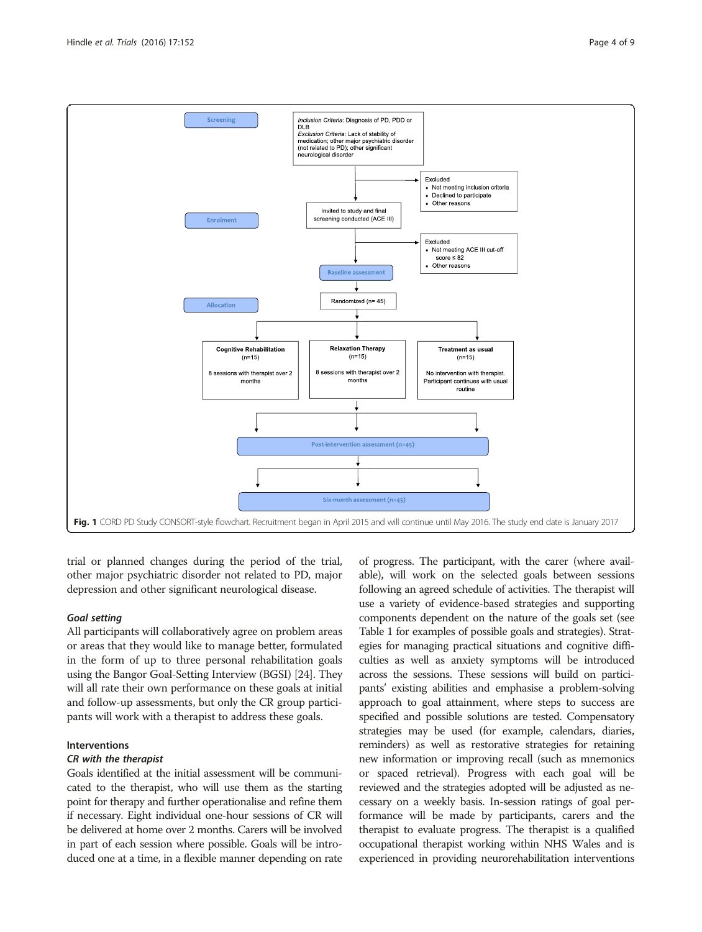<span id="page-3-0"></span>

trial or planned changes during the period of the trial, other major psychiatric disorder not related to PD, major depression and other significant neurological disease.

#### Goal setting

All participants will collaboratively agree on problem areas or areas that they would like to manage better, formulated in the form of up to three personal rehabilitation goals using the Bangor Goal-Setting Interview (BGSI) [\[24\]](#page-7-0). They will all rate their own performance on these goals at initial and follow-up assessments, but only the CR group participants will work with a therapist to address these goals.

#### Interventions

#### CR with the therapist

Goals identified at the initial assessment will be communicated to the therapist, who will use them as the starting point for therapy and further operationalise and refine them if necessary. Eight individual one-hour sessions of CR will be delivered at home over 2 months. Carers will be involved in part of each session where possible. Goals will be introduced one at a time, in a flexible manner depending on rate

of progress. The participant, with the carer (where available), will work on the selected goals between sessions following an agreed schedule of activities. The therapist will use a variety of evidence-based strategies and supporting components dependent on the nature of the goals set (see Table [1](#page-4-0) for examples of possible goals and strategies). Strategies for managing practical situations and cognitive difficulties as well as anxiety symptoms will be introduced across the sessions. These sessions will build on participants' existing abilities and emphasise a problem-solving approach to goal attainment, where steps to success are specified and possible solutions are tested. Compensatory strategies may be used (for example, calendars, diaries, reminders) as well as restorative strategies for retaining new information or improving recall (such as mnemonics or spaced retrieval). Progress with each goal will be reviewed and the strategies adopted will be adjusted as necessary on a weekly basis. In-session ratings of goal performance will be made by participants, carers and the therapist to evaluate progress. The therapist is a qualified occupational therapist working within NHS Wales and is experienced in providing neurorehabilitation interventions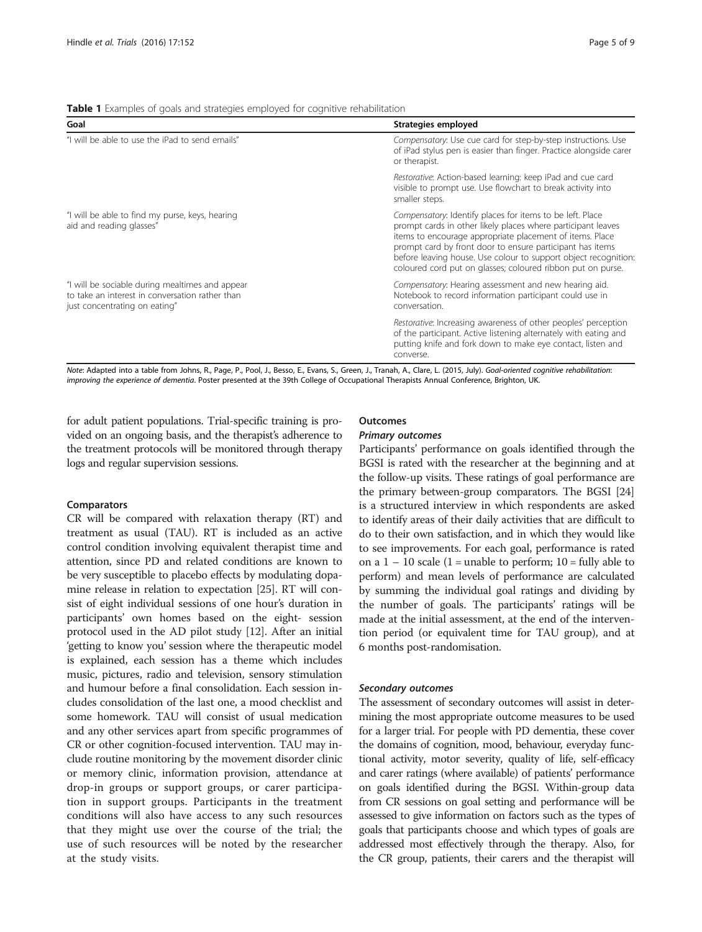<span id="page-4-0"></span>Table 1 Examples of goals and strategies employed for cognitive rehabilitation

| Goal                                                                                                                                | Strategies employed                                                                                                                                                                                                                                                                                                                                                                  |
|-------------------------------------------------------------------------------------------------------------------------------------|--------------------------------------------------------------------------------------------------------------------------------------------------------------------------------------------------------------------------------------------------------------------------------------------------------------------------------------------------------------------------------------|
| "I will be able to use the iPad to send emails"                                                                                     | Compensatory: Use cue card for step-by-step instructions. Use<br>of iPad stylus pen is easier than finger. Practice alongside carer<br>or therapist.                                                                                                                                                                                                                                 |
|                                                                                                                                     | Restorative: Action-based learning: keep iPad and cue card<br>visible to prompt use. Use flowchart to break activity into<br>smaller steps.                                                                                                                                                                                                                                          |
| "I will be able to find my purse, keys, hearing<br>aid and reading glasses"                                                         | Compensatory: Identify places for items to be left. Place<br>prompt cards in other likely places where participant leaves<br>items to encourage appropriate placement of items. Place<br>prompt card by front door to ensure participant has items<br>before leaving house. Use colour to support object recognition:<br>coloured cord put on glasses; coloured ribbon put on purse. |
| "I will be sociable during mealtimes and appear<br>to take an interest in conversation rather than<br>just concentrating on eating" | Compensatory: Hearing assessment and new hearing aid.<br>Notebook to record information participant could use in<br>conversation.                                                                                                                                                                                                                                                    |
|                                                                                                                                     | Restorative: Increasing awareness of other peoples' perception<br>of the participant. Active listening alternately with eating and<br>putting knife and fork down to make eye contact, listen and<br>converse.                                                                                                                                                                       |

Note: Adapted into a table from Johns, R., Page, P., Pool, J., Besso, E., Evans, S., Green, J., Tranah, A., Clare, L. (2015, July). Goal-oriented cognitive rehabilitation: improving the experience of dementia. Poster presented at the 39th College of Occupational Therapists Annual Conference, Brighton, UK.

for adult patient populations. Trial-specific training is provided on an ongoing basis, and the therapist's adherence to the treatment protocols will be monitored through therapy logs and regular supervision sessions.

#### **Comparators**

CR will be compared with relaxation therapy (RT) and treatment as usual (TAU). RT is included as an active control condition involving equivalent therapist time and attention, since PD and related conditions are known to be very susceptible to placebo effects by modulating dopamine release in relation to expectation [[25](#page-7-0)]. RT will consist of eight individual sessions of one hour's duration in participants' own homes based on the eight- session protocol used in the AD pilot study [[12](#page-7-0)]. After an initial 'getting to know you' session where the therapeutic model is explained, each session has a theme which includes music, pictures, radio and television, sensory stimulation and humour before a final consolidation. Each session includes consolidation of the last one, a mood checklist and some homework. TAU will consist of usual medication and any other services apart from specific programmes of CR or other cognition-focused intervention. TAU may include routine monitoring by the movement disorder clinic or memory clinic, information provision, attendance at drop-in groups or support groups, or carer participation in support groups. Participants in the treatment conditions will also have access to any such resources that they might use over the course of the trial; the use of such resources will be noted by the researcher at the study visits.

#### Outcomes

#### Primary outcomes

Participants' performance on goals identified through the BGSI is rated with the researcher at the beginning and at the follow-up visits. These ratings of goal performance are the primary between-group comparators. The BGSI [[24](#page-7-0)] is a structured interview in which respondents are asked to identify areas of their daily activities that are difficult to do to their own satisfaction, and in which they would like to see improvements. For each goal, performance is rated on a  $1 - 10$  scale (1 = unable to perform; 10 = fully able to perform) and mean levels of performance are calculated by summing the individual goal ratings and dividing by the number of goals. The participants' ratings will be made at the initial assessment, at the end of the intervention period (or equivalent time for TAU group), and at 6 months post-randomisation.

#### Secondary outcomes

The assessment of secondary outcomes will assist in determining the most appropriate outcome measures to be used for a larger trial. For people with PD dementia, these cover the domains of cognition, mood, behaviour, everyday functional activity, motor severity, quality of life, self-efficacy and carer ratings (where available) of patients' performance on goals identified during the BGSI. Within-group data from CR sessions on goal setting and performance will be assessed to give information on factors such as the types of goals that participants choose and which types of goals are addressed most effectively through the therapy. Also, for the CR group, patients, their carers and the therapist will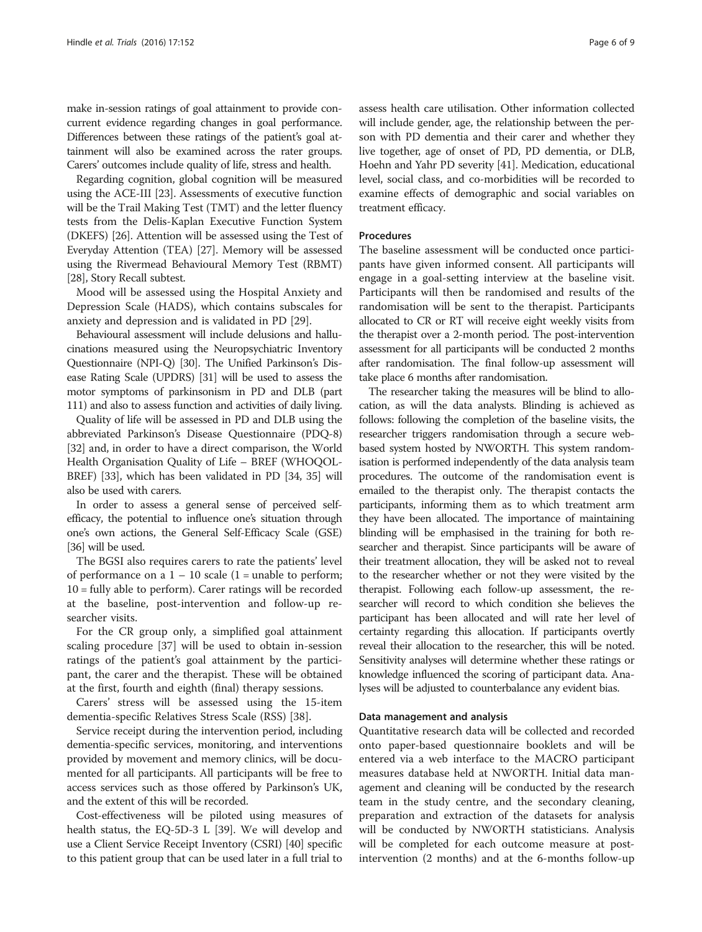make in-session ratings of goal attainment to provide concurrent evidence regarding changes in goal performance. Differences between these ratings of the patient's goal attainment will also be examined across the rater groups. Carers' outcomes include quality of life, stress and health.

Regarding cognition, global cognition will be measured using the ACE-III [\[23](#page-7-0)]. Assessments of executive function will be the Trail Making Test (TMT) and the letter fluency tests from the Delis-Kaplan Executive Function System (DKEFS) [[26](#page-7-0)]. Attention will be assessed using the Test of Everyday Attention (TEA) [\[27\]](#page-7-0). Memory will be assessed using the Rivermead Behavioural Memory Test (RBMT) [[28](#page-7-0)], Story Recall subtest.

Mood will be assessed using the Hospital Anxiety and Depression Scale (HADS), which contains subscales for anxiety and depression and is validated in PD [[29](#page-7-0)].

Behavioural assessment will include delusions and hallucinations measured using the Neuropsychiatric Inventory Questionnaire (NPI-Q) [[30\]](#page-7-0). The Unified Parkinson's Disease Rating Scale (UPDRS) [\[31](#page-7-0)] will be used to assess the motor symptoms of parkinsonism in PD and DLB (part 111) and also to assess function and activities of daily living.

Quality of life will be assessed in PD and DLB using the abbreviated Parkinson's Disease Questionnaire (PDQ-8) [[32](#page-7-0)] and, in order to have a direct comparison, the World Health Organisation Quality of Life – BREF (WHOQOL-BREF) [[33](#page-7-0)], which has been validated in PD [[34](#page-7-0), [35\]](#page-7-0) will also be used with carers.

In order to assess a general sense of perceived selfefficacy, the potential to influence one's situation through one's own actions, the General Self-Efficacy Scale (GSE) [[36](#page-7-0)] will be used.

The BGSI also requires carers to rate the patients' level of performance on a  $1 - 10$  scale (1 = unable to perform; 10 = fully able to perform). Carer ratings will be recorded at the baseline, post-intervention and follow-up researcher visits.

For the CR group only, a simplified goal attainment scaling procedure [[37\]](#page-7-0) will be used to obtain in-session ratings of the patient's goal attainment by the participant, the carer and the therapist. These will be obtained at the first, fourth and eighth (final) therapy sessions.

Carers' stress will be assessed using the 15-item dementia-specific Relatives Stress Scale (RSS) [\[38\]](#page-8-0).

Service receipt during the intervention period, including dementia-specific services, monitoring, and interventions provided by movement and memory clinics, will be documented for all participants. All participants will be free to access services such as those offered by Parkinson's UK, and the extent of this will be recorded.

Cost-effectiveness will be piloted using measures of health status, the EQ-5D-3 L [\[39\]](#page-8-0). We will develop and use a Client Service Receipt Inventory (CSRI) [\[40\]](#page-8-0) specific to this patient group that can be used later in a full trial to

assess health care utilisation. Other information collected will include gender, age, the relationship between the person with PD dementia and their carer and whether they live together, age of onset of PD, PD dementia, or DLB, Hoehn and Yahr PD severity [[41](#page-8-0)]. Medication, educational level, social class, and co-morbidities will be recorded to examine effects of demographic and social variables on treatment efficacy.

#### Procedures

The baseline assessment will be conducted once participants have given informed consent. All participants will engage in a goal-setting interview at the baseline visit. Participants will then be randomised and results of the randomisation will be sent to the therapist. Participants allocated to CR or RT will receive eight weekly visits from the therapist over a 2-month period. The post-intervention assessment for all participants will be conducted 2 months after randomisation. The final follow-up assessment will take place 6 months after randomisation.

The researcher taking the measures will be blind to allocation, as will the data analysts. Blinding is achieved as follows: following the completion of the baseline visits, the researcher triggers randomisation through a secure webbased system hosted by NWORTH. This system randomisation is performed independently of the data analysis team procedures. The outcome of the randomisation event is emailed to the therapist only. The therapist contacts the participants, informing them as to which treatment arm they have been allocated. The importance of maintaining blinding will be emphasised in the training for both researcher and therapist. Since participants will be aware of their treatment allocation, they will be asked not to reveal to the researcher whether or not they were visited by the therapist. Following each follow-up assessment, the researcher will record to which condition she believes the participant has been allocated and will rate her level of certainty regarding this allocation. If participants overtly reveal their allocation to the researcher, this will be noted. Sensitivity analyses will determine whether these ratings or knowledge influenced the scoring of participant data. Analyses will be adjusted to counterbalance any evident bias.

#### Data management and analysis

Quantitative research data will be collected and recorded onto paper-based questionnaire booklets and will be entered via a web interface to the MACRO participant measures database held at NWORTH. Initial data management and cleaning will be conducted by the research team in the study centre, and the secondary cleaning, preparation and extraction of the datasets for analysis will be conducted by NWORTH statisticians. Analysis will be completed for each outcome measure at postintervention (2 months) and at the 6-months follow-up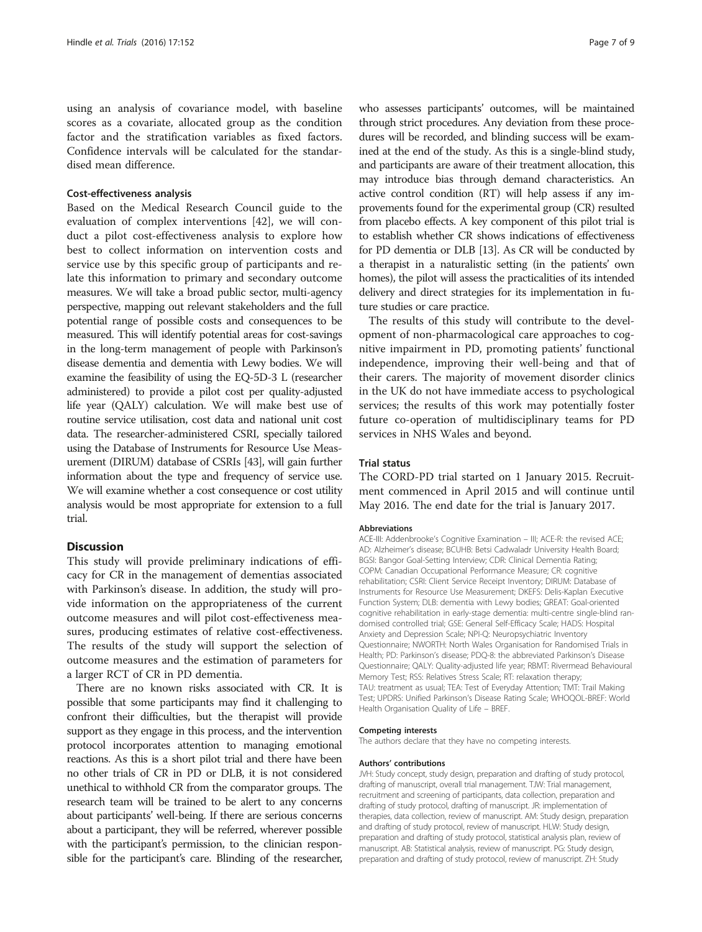using an analysis of covariance model, with baseline scores as a covariate, allocated group as the condition factor and the stratification variables as fixed factors. Confidence intervals will be calculated for the standardised mean difference.

#### Cost-effectiveness analysis

Based on the Medical Research Council guide to the evaluation of complex interventions [\[42\]](#page-8-0), we will conduct a pilot cost-effectiveness analysis to explore how best to collect information on intervention costs and service use by this specific group of participants and relate this information to primary and secondary outcome measures. We will take a broad public sector, multi-agency perspective, mapping out relevant stakeholders and the full potential range of possible costs and consequences to be measured. This will identify potential areas for cost-savings in the long-term management of people with Parkinson's disease dementia and dementia with Lewy bodies. We will examine the feasibility of using the EQ-5D-3 L (researcher administered) to provide a pilot cost per quality-adjusted life year (QALY) calculation. We will make best use of routine service utilisation, cost data and national unit cost data. The researcher-administered CSRI, specially tailored using the Database of Instruments for Resource Use Measurement (DIRUM) database of CSRIs [\[43](#page-8-0)], will gain further information about the type and frequency of service use. We will examine whether a cost consequence or cost utility analysis would be most appropriate for extension to a full trial.

#### **Discussion**

This study will provide preliminary indications of efficacy for CR in the management of dementias associated with Parkinson's disease. In addition, the study will provide information on the appropriateness of the current outcome measures and will pilot cost-effectiveness measures, producing estimates of relative cost-effectiveness. The results of the study will support the selection of outcome measures and the estimation of parameters for a larger RCT of CR in PD dementia.

There are no known risks associated with CR. It is possible that some participants may find it challenging to confront their difficulties, but the therapist will provide support as they engage in this process, and the intervention protocol incorporates attention to managing emotional reactions. As this is a short pilot trial and there have been no other trials of CR in PD or DLB, it is not considered unethical to withhold CR from the comparator groups. The research team will be trained to be alert to any concerns about participants' well-being. If there are serious concerns about a participant, they will be referred, wherever possible with the participant's permission, to the clinician responsible for the participant's care. Blinding of the researcher,

who assesses participants' outcomes, will be maintained through strict procedures. Any deviation from these procedures will be recorded, and blinding success will be examined at the end of the study. As this is a single-blind study, and participants are aware of their treatment allocation, this may introduce bias through demand characteristics. An active control condition (RT) will help assess if any improvements found for the experimental group (CR) resulted from placebo effects. A key component of this pilot trial is to establish whether CR shows indications of effectiveness for PD dementia or DLB [\[13\]](#page-7-0). As CR will be conducted by a therapist in a naturalistic setting (in the patients' own homes), the pilot will assess the practicalities of its intended delivery and direct strategies for its implementation in future studies or care practice.

The results of this study will contribute to the development of non-pharmacological care approaches to cognitive impairment in PD, promoting patients' functional independence, improving their well-being and that of their carers. The majority of movement disorder clinics in the UK do not have immediate access to psychological services; the results of this work may potentially foster future co-operation of multidisciplinary teams for PD services in NHS Wales and beyond.

#### Trial status

The CORD-PD trial started on 1 January 2015. Recruitment commenced in April 2015 and will continue until May 2016. The end date for the trial is January 2017.

#### Abbreviations

ACE-III: Addenbrooke's Cognitive Examination – III; ACE-R: the revised ACE; AD: Alzheimer's disease; BCUHB: Betsi Cadwaladr University Health Board; BGSI: Bangor Goal-Setting Interview; CDR: Clinical Dementia Rating; COPM: Canadian Occupational Performance Measure; CR: cognitive rehabilitation; CSRI: Client Service Receipt Inventory; DIRUM: Database of Instruments for Resource Use Measurement; DKEFS: Delis-Kaplan Executive Function System; DLB: dementia with Lewy bodies; GREAT: Goal-oriented cognitive rehabilitation in early-stage dementia: multi-centre single-blind randomised controlled trial; GSE: General Self-Efficacy Scale; HADS: Hospital Anxiety and Depression Scale; NPI-Q: Neuropsychiatric Inventory Questionnaire; NWORTH: North Wales Organisation for Randomised Trials in Health; PD: Parkinson's disease; PDQ-8: the abbreviated Parkinson's Disease Questionnaire; QALY: Quality-adjusted life year; RBMT: Rivermead Behavioural Memory Test; RSS: Relatives Stress Scale; RT: relaxation therapy; TAU: treatment as usual; TEA: Test of Everyday Attention; TMT: Trail Making Test; UPDRS: Unified Parkinson's Disease Rating Scale; WHOQOL-BREF: World Health Organisation Quality of Life – BREF.

#### Competing interests

The authors declare that they have no competing interests.

#### Authors' contributions

JVH: Study concept, study design, preparation and drafting of study protocol, drafting of manuscript, overall trial management. TJW: Trial management, recruitment and screening of participants, data collection, preparation and drafting of study protocol, drafting of manuscript. JR: implementation of therapies, data collection, review of manuscript. AM: Study design, preparation and drafting of study protocol, review of manuscript. HLW: Study design, preparation and drafting of study protocol, statistical analysis plan, review of manuscript. AB: Statistical analysis, review of manuscript. PG: Study design, preparation and drafting of study protocol, review of manuscript. ZH: Study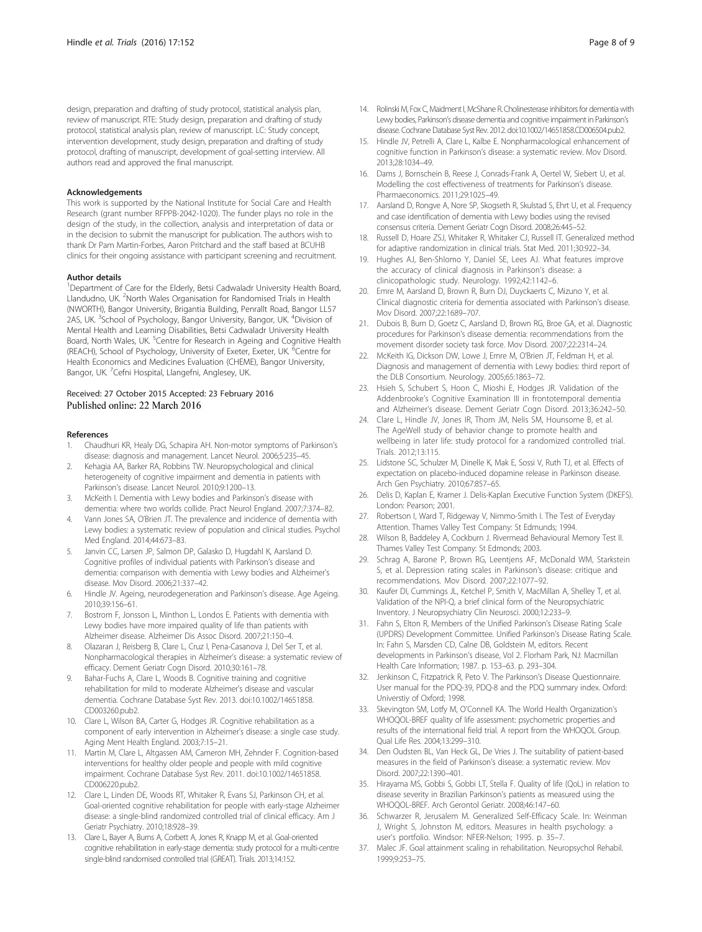<span id="page-7-0"></span>design, preparation and drafting of study protocol, statistical analysis plan, review of manuscript. RTE: Study design, preparation and drafting of study protocol, statistical analysis plan, review of manuscript. LC: Study concept, intervention development, study design, preparation and drafting of study protocol, drafting of manuscript, development of goal-setting interview. All authors read and approved the final manuscript.

#### Acknowledgements

This work is supported by the National Institute for Social Care and Health Research (grant number RFPPB-2042-1020). The funder plays no role in the design of the study, in the collection, analysis and interpretation of data or in the decision to submit the manuscript for publication. The authors wish to thank Dr Pam Martin-Forbes, Aaron Pritchard and the staff based at BCUHB clinics for their ongoing assistance with participant screening and recruitment.

#### Author details

<sup>1</sup>Department of Care for the Elderly, Betsi Cadwaladr University Health Board, Llandudno, UK. <sup>2</sup>North Wales Organisation for Randomised Trials in Health (NWORTH), Bangor University, Brigantia Building, Penrallt Road, Bangor LL57 2AS, UK. <sup>3</sup>School of Psychology, Bangor University, Bangor, UK. <sup>4</sup>Division of Mental Health and Learning Disabilities, Betsi Cadwaladr University Health Board, North Wales, UK. <sup>5</sup>Centre for Research in Ageing and Cognitive Health (REACH), School of Psychology, University of Exeter, Exeter, UK. <sup>6</sup>Centre for Health Economics and Medicines Evaluation (CHEME), Bangor University, Bangor, UK. <sup>7</sup>Cefni Hospital, Llangefni, Anglesey, UK.

# Received: 27 October 2015 Accepted: 23 February 2016<br>Published online: 22 March 2016

#### References

- 1. Chaudhuri KR, Healy DG, Schapira AH. Non-motor symptoms of Parkinson's disease: diagnosis and management. Lancet Neurol. 2006;5:235–45.
- 2. Kehagia AA, Barker RA, Robbins TW. Neuropsychological and clinical heterogeneity of cognitive impairment and dementia in patients with Parkinson's disease. Lancet Neurol. 2010;9:1200–13.
- 3. McKeith I. Dementia with Lewy bodies and Parkinson's disease with dementia: where two worlds collide. Pract Neurol England. 2007;7:374–82.
- 4. Vann Jones SA, O'Brien JT. The prevalence and incidence of dementia with Lewy bodies: a systematic review of population and clinical studies. Psychol Med England. 2014;44:673–83.
- 5. Janvin CC, Larsen JP, Salmon DP, Galasko D, Hugdahl K, Aarsland D. Cognitive profiles of individual patients with Parkinson's disease and dementia: comparison with dementia with Lewy bodies and Alzheimer's disease. Mov Disord. 2006;21:337–42.
- 6. Hindle JV. Ageing, neurodegeneration and Parkinson's disease. Age Ageing. 2010;39:156–61.
- 7. Bostrom F, Jonsson L, Minthon L, Londos E. Patients with dementia with Lewy bodies have more impaired quality of life than patients with Alzheimer disease. Alzheimer Dis Assoc Disord. 2007;21:150–4.
- 8. Olazaran J, Reisberg B, Clare L, Cruz I, Pena-Casanova J, Del Ser T, et al. Nonpharmacological therapies in Alzheimer's disease: a systematic review of efficacy. Dement Geriatr Cogn Disord. 2010;30:161–78.
- 9. Bahar-Fuchs A, Clare L, Woods B. Cognitive training and cognitive rehabilitation for mild to moderate Alzheimer's disease and vascular dementia. Cochrane Database Syst Rev. 2013. doi:[10.1002/14651858.](http://dx.doi.org/10.1002/14651858.CD003260.pub2) [CD003260.pub2.](http://dx.doi.org/10.1002/14651858.CD003260.pub2)
- 10. Clare L, Wilson BA, Carter G, Hodges JR. Cognitive rehabilitation as a component of early intervention in Alzheimer's disease: a single case study. Aging Ment Health England. 2003;7:15–21.
- 11. Martin M, Clare L, Altgassen AM, Cameron MH, Zehnder F. Cognition-based interventions for healthy older people and people with mild cognitive impairment. Cochrane Database Syst Rev. 2011. doi:[10.1002/14651858.](http://dx.doi.org/10.1002/14651858.CD006220.pub2) [CD006220.pub2.](http://dx.doi.org/10.1002/14651858.CD006220.pub2)
- 12. Clare L, Linden DE, Woods RT, Whitaker R, Evans SJ, Parkinson CH, et al. Goal-oriented cognitive rehabilitation for people with early-stage Alzheimer disease: a single-blind randomized controlled trial of clinical efficacy. Am J Geriatr Psychiatry. 2010;18:928–39.
- 13. Clare L, Bayer A, Burns A, Corbett A, Jones R, Knapp M, et al. Goal-oriented cognitive rehabilitation in early-stage dementia: study protocol for a multi-centre single-blind randomised controlled trial (GREAT). Trials. 2013;14:152.
- 
- 14. Rolinski M, Fox C, Maidment I, McShane R. Cholinesterase inhibitors for dementia with Lewy bodies, Parkinson's disease dementia and cognitive impairment in Parkinson's disease. Cochrane Database Syst Rev. 2012. doi[:10.1002/14651858.CD006504.pub2.](http://dx.doi.org/10.1002/14651858.CD006504.pub2)
- 15. Hindle JV, Petrelli A, Clare L, Kalbe E. Nonpharmacological enhancement of cognitive function in Parkinson's disease: a systematic review. Mov Disord. 2013;28:1034–49.
- 16. Dams J, Bornschein B, Reese J, Conrads-Frank A, Oertel W, Siebert U, et al. Modelling the cost effectiveness of treatments for Parkinson's disease. Pharmaeconomics. 2011;29:1025–49.
- 17. Aarsland D, Rongve A, Nore SP, Skogseth R, Skulstad S, Ehrt U, et al. Frequency and case identification of dementia with Lewy bodies using the revised consensus criteria. Dement Geriatr Cogn Disord. 2008;26:445–52.
- 18. Russell D, Hoare ZSJ, Whitaker R, Whitaker CJ, Russell IT. Generalized method for adaptive randomization in clinical trials. Stat Med. 2011;30:922–34.
- 19. Hughes AJ, Ben-Shlomo Y, Daniel SE, Lees AJ. What features improve the accuracy of clinical diagnosis in Parkinson's disease: a clinicopathologic study. Neurology. 1992;42:1142–6.
- 20. Emre M, Aarsland D, Brown R, Burn DJ, Duyckaerts C, Mizuno Y, et al. Clinical diagnostic criteria for dementia associated with Parkinson's disease. Mov Disord. 2007;22:1689–707.
- 21. Dubois B, Burn D, Goetz C, Aarsland D, Brown RG, Broe GA, et al. Diagnostic procedures for Parkinson's disease dementia: recommendations from the movement disorder society task force. Mov Disord. 2007;22:2314–24.
- 22. McKeith IG, Dickson DW, Lowe J, Emre M, O'Brien JT, Feldman H, et al. Diagnosis and management of dementia with Lewy bodies: third report of the DLB Consortium. Neurology. 2005;65:1863–72.
- 23. Hsieh S, Schubert S, Hoon C, Mioshi E, Hodges JR. Validation of the Addenbrooke's Cognitive Examination III in frontotemporal dementia and Alzheimer's disease. Dement Geriatr Cogn Disord. 2013;36:242–50.
- 24. Clare L, Hindle JV, Jones IR, Thom JM, Nelis SM, Hounsome B, et al. The AgeWell study of behavior change to promote health and wellbeing in later life: study protocol for a randomized controlled trial. Trials. 2012;13:115.
- 25. Lidstone SC, Schulzer M, Dinelle K, Mak E, Sossi V, Ruth TJ, et al. Effects of expectation on placebo-induced dopamine release in Parkinson disease. Arch Gen Psychiatry. 2010;67:857–65.
- 26. Delis D, Kaplan E, Kramer J. Delis-Kaplan Executive Function System (DKEFS). London: Pearson; 2001.
- 27. Robertson I, Ward T, Ridgeway V, Nimmo-Smith I. The Test of Everyday Attention. Thames Valley Test Company: St Edmunds; 1994.
- 28. Wilson B, Baddeley A, Cockburn J. Rivermead Behavioural Memory Test II. Thames Valley Test Company: St Edmonds; 2003.
- 29. Schrag A, Barone P, Brown RG, Leentjens AF, McDonald WM, Starkstein S, et al. Depression rating scales in Parkinson's disease: critique and recommendations. Mov Disord. 2007;22:1077–92.
- 30. Kaufer DI, Cummings JL, Ketchel P, Smith V, MacMillan A, Shelley T, et al. Validation of the NPI-Q, a brief clinical form of the Neuropsychiatric Inventory. J Neuropsychiatry Clin Neurosci. 2000;12:233–9.
- 31. Fahn S, Elton R, Members of the Unified Parkinson's Disease Rating Scale (UPDRS) Development Committee. Unified Parkinson's Disease Rating Scale. In: Fahn S, Marsden CD, Calne DB, Goldstein M, editors. Recent developments in Parkinson's disease, Vol 2. Florham Park, NJ: Macmillan Health Care Information; 1987. p. 153–63. p. 293–304.
- 32. Jenkinson C, Fitzpatrick R, Peto V. The Parkinson's Disease Questionnaire. User manual for the PDQ-39, PDQ-8 and the PDQ summary index. Oxford: Universtiy of Oxford; 1998.
- 33. Skevington SM, Lotfy M, O'Connell KA. The World Health Organization's WHOQOL-BREF quality of life assessment: psychometric properties and results of the international field trial. A report from the WHOQOL Group. Qual Life Res. 2004;13:299–310.
- 34. Den Oudsten BL, Van Heck GL, De Vries J. The suitability of patient-based measures in the field of Parkinson's disease: a systematic review. Mov Disord. 2007;22:1390–401.
- 35. Hirayama MS, Gobbi S, Gobbi LT, Stella F. Quality of life (QoL) in relation to disease severity in Brazilian Parkinson's patients as measured using the WHOQOL-BREF. Arch Gerontol Geriatr. 2008;46:147–60.
- 36. Schwarzer R, Jerusalem M. Generalized Self-Efficacy Scale. In: Weinman J, Wright S, Johnston M, editors. Measures in health psychology: a user's portfolio. Windsor: NFER-Nelson; 1995. p. 35–7.
- 37. Malec JF. Goal attainment scaling in rehabilitation. Neuropsychol Rehabil. 1999;9:253–75.